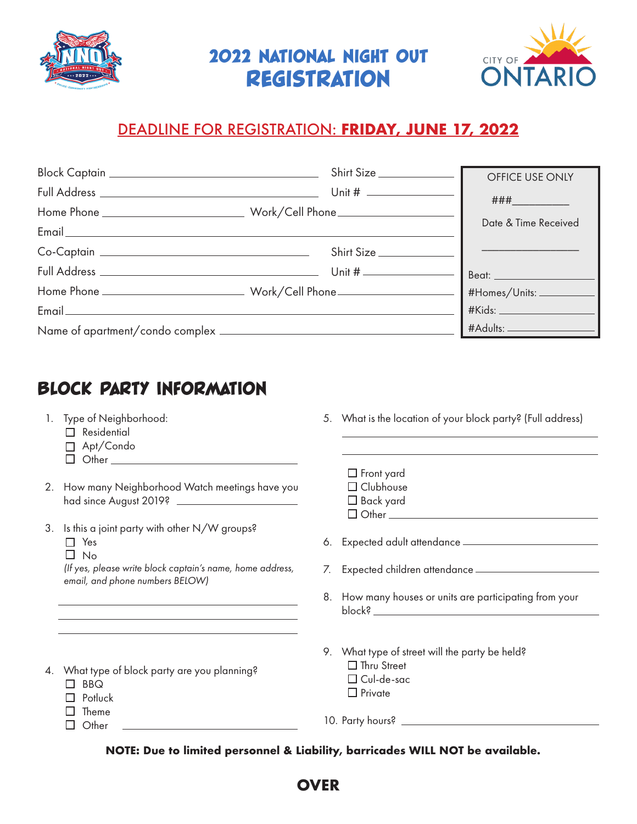

2022 National Night Out **REGISTRATION** 



## DEADLINE FOR REGISTRATION: **FRIDAY, JUNE 17, 2022**

|  | Shirt Size | OFFICE USE ONLY      |
|--|------------|----------------------|
|  |            | $\# \# \#$           |
|  |            |                      |
|  |            | Date & Time Received |
|  | Shirt Size |                      |
|  |            |                      |
|  |            |                      |
|  |            |                      |
|  |            |                      |

## BLOCK PARTY INFORMATION

- 1. Type of Neighborhood:
	- Residential
	- Apt/Condo
	- $\Box$  Other  $\Box$
- 2. How many Neighborhood Watch meetings have you had since August 2019?
- 3. Is this a joint party with other N/W groups? □ Yes
	- $\square$  No

*(If yes, please write block captain's name, home address, email, and phone numbers BELOW)*

- 5. What is the location of your block party? (Full address)
	- $\Box$  Front yard □ Clubhouse □ Back yard

 $\Box$  Other  $\_\_\_\_\_\$ 

6. Expected adult attendance

- 7. Expected children attendance
- 8. How many houses or units are participating from your block?
- 9. What type of street will the party be held? □ Thru Street Cul-de-sac  $\Box$  Private
- 4. What type of block party are you planning?
	- $\Pi$  BBQ
	- $\Box$  Potluck
	- $\Box$  Theme  $\Box$  Other

10. Party hours?

**NOTE: Due to limited personnel & Liability, barricades WILL NOT be available.**

## **OVER**